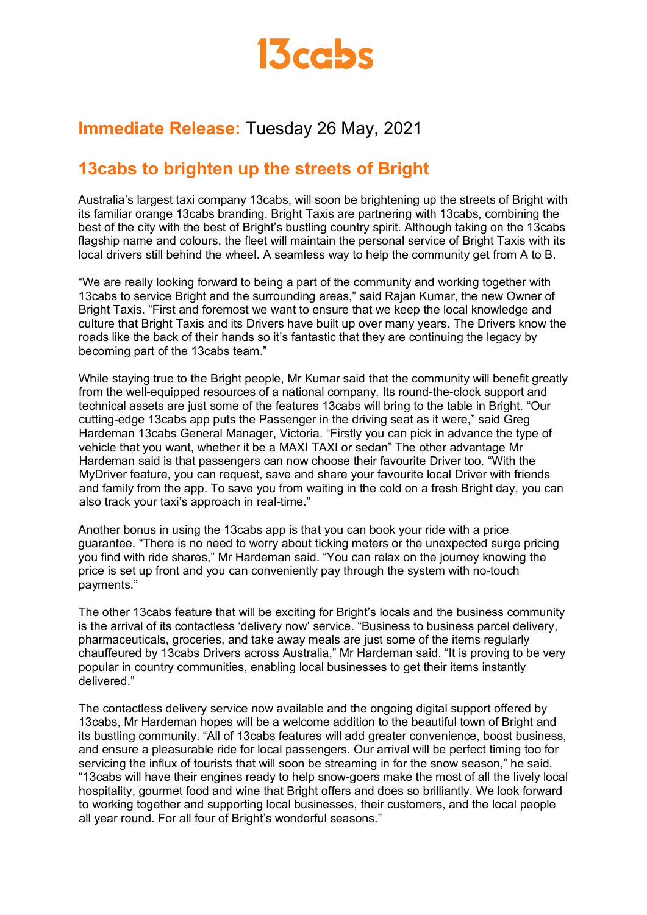

# **Immediate Release:** Tuesday 26 May, 2021

## **13cabs to brighten up the streets of Bright**

Australia's largest taxi company 13cabs, will soon be brightening up the streets of Bright with its familiar orange 13cabs branding. Bright Taxis are partnering with 13cabs, combining the best of the city with the best of Bright's bustling country spirit. Although taking on the 13cabs flagship name and colours, the fleet will maintain the personal service of Bright Taxis with its local drivers still behind the wheel. A seamless way to help the community get from A to B.

"We are really looking forward to being a part of the community and working together with 13cabs to service Bright and the surrounding areas," said Rajan Kumar, the new Owner of Bright Taxis. "First and foremost we want to ensure that we keep the local knowledge and culture that Bright Taxis and its Drivers have built up over many years. The Drivers know the roads like the back of their hands so it's fantastic that they are continuing the legacy by becoming part of the 13cabs team."

While staying true to the Bright people, Mr Kumar said that the community will benefit greatly from the well-equipped resources of a national company. Its round-the-clock support and technical assets are just some of the features 13cabs will bring to the table in Bright. "Our cutting-edge 13cabs app puts the Passenger in the driving seat as it were," said Greg Hardeman 13cabs General Manager, Victoria. "Firstly you can pick in advance the type of vehicle that you want, whether it be a MAXI TAXI or sedan" The other advantage Mr Hardeman said is that passengers can now choose their favourite Driver too. "With the MyDriver feature, you can request, save and share your favourite local Driver with friends and family from the app. To save you from waiting in the cold on a fresh Bright day, you can also track your taxi's approach in real-time."

Another bonus in using the 13cabs app is that you can book your ride with a price guarantee. "There is no need to worry about ticking meters or the unexpected surge pricing you find with ride shares," Mr Hardeman said. "You can relax on the journey knowing the price is set up front and you can conveniently pay through the system with no-touch payments."

The other 13cabs feature that will be exciting for Bright's locals and the business community is the arrival of its contactless 'delivery now' service. "Business to business parcel delivery, pharmaceuticals, groceries, and take away meals are just some of the items regularly chauffeured by 13cabs Drivers across Australia," Mr Hardeman said. "It is proving to be very popular in country communities, enabling local businesses to get their items instantly delivered."

The contactless delivery service now available and the ongoing digital support offered by 13cabs, Mr Hardeman hopes will be a welcome addition to the beautiful town of Bright and its bustling community. "All of 13cabs features will add greater convenience, boost business, and ensure a pleasurable ride for local passengers. Our arrival will be perfect timing too for servicing the influx of tourists that will soon be streaming in for the snow season," he said. "13cabs will have their engines ready to help snow-goers make the most of all the lively local hospitality, gourmet food and wine that Bright offers and does so brilliantly. We look forward to working together and supporting local businesses, their customers, and the local people all year round. For all four of Bright's wonderful seasons."